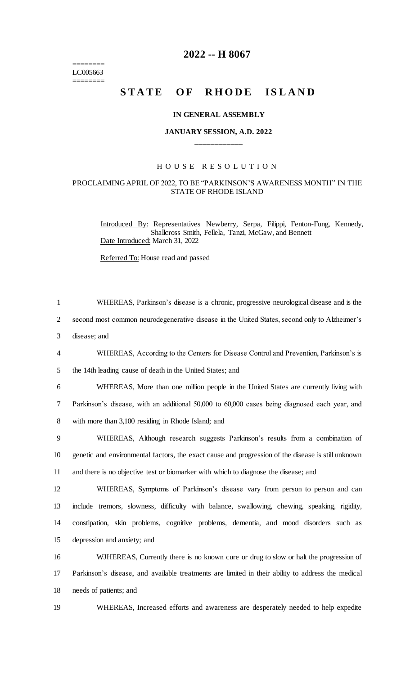======== LC005663 ========

# **2022 -- H 8067**

# STATE OF RHODE ISLAND

#### **IN GENERAL ASSEMBLY**

## **JANUARY SESSION, A.D. 2022 \_\_\_\_\_\_\_\_\_\_\_\_**

## H O U S E R E S O L U T I O N

#### PROCLAIMING APRIL OF 2022, TO BE "PARKINSON'S AWARENESS MONTH" IN THE STATE OF RHODE ISLAND

Introduced By: Representatives Newberry, Serpa, Filippi, Fenton-Fung, Kennedy, Shallcross Smith, Fellela, Tanzi, McGaw, and Bennett Date Introduced: March 31, 2022

Referred To: House read and passed

| $\mathbf{1}$   | WHEREAS, Parkinson's disease is a chronic, progressive neurological disease and is the             |
|----------------|----------------------------------------------------------------------------------------------------|
| $\overline{2}$ | second most common neurodegenerative disease in the United States, second only to Alzheimer's      |
| 3              | disease; and                                                                                       |
| $\overline{4}$ | WHEREAS, According to the Centers for Disease Control and Prevention, Parkinson's is               |
| 5              | the 14th leading cause of death in the United States; and                                          |
| 6              | WHEREAS, More than one million people in the United States are currently living with               |
| 7              | Parkinson's disease, with an additional 50,000 to 60,000 cases being diagnosed each year, and      |
| 8              | with more than 3,100 residing in Rhode Island; and                                                 |
| 9              | WHEREAS, Although research suggests Parkinson's results from a combination of                      |
| 10             | genetic and environmental factors, the exact cause and progression of the disease is still unknown |
| 11             | and there is no objective test or biomarker with which to diagnose the disease; and                |
| 12             | WHEREAS, Symptoms of Parkinson's disease vary from person to person and can                        |
| 13             | include tremors, slowness, difficulty with balance, swallowing, chewing, speaking, rigidity,       |
| 14             | constipation, skin problems, cognitive problems, dementia, and mood disorders such as              |
| 15             | depression and anxiety; and                                                                        |
| 16             | WJHEREAS, Currently there is no known cure or drug to slow or halt the progression of              |
| 17             | Parkinson's disease, and available treatments are limited in their ability to address the medical  |
| 18             | needs of patients; and                                                                             |
| 19             | WHEREAS, Increased efforts and awareness are desperately needed to help expedite                   |